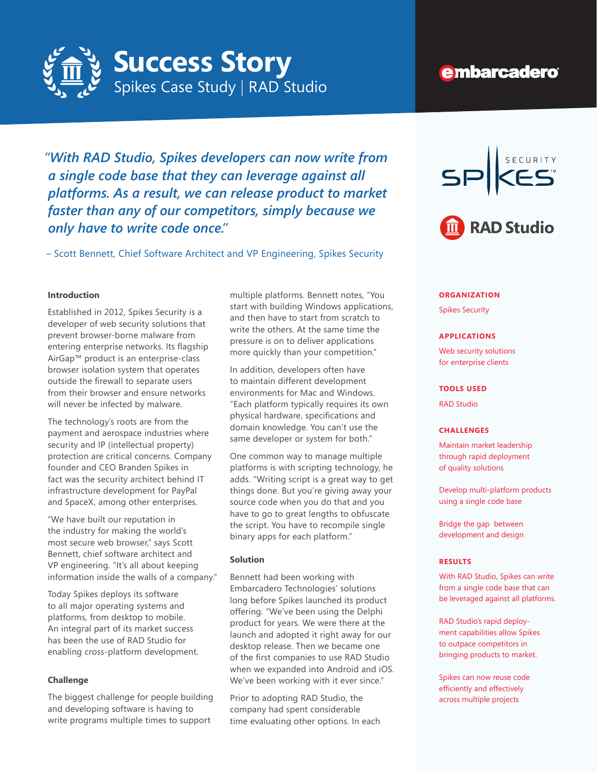

# **embarcadero**

*"With RAD Studio, Spikes developers can now write from a single code base that they can leverage against all platforms. As a result, we can release product to market faster than any of our competitors, simply because we only have to write code once."*

– Scott Bennett, Chief Software Architect and VP Engineering, Spikes Security

# **Introduction**

Established in 2012, Spikes Security is a developer of web security solutions that prevent browser-borne malware from entering enterprise networks. Its flagship AirGap™ product is an enterprise-class browser isolation system that operates outside the firewall to separate users from their browser and ensure networks will never be infected by malware.

The technology's roots are from the payment and aerospace industries where security and IP (intellectual property) protection are critical concerns. Company founder and CEO Branden Spikes in fact was the security architect behind IT infrastructure development for PayPal and SpaceX, among other enterprises.

"We have built our reputation in the industry for making the world's most secure web browser," says Scott Bennett, chief software architect and VP engineering. "It's all about keeping information inside the walls of a company."

Today Spikes deploys its software to all major operating systems and platforms, from desktop to mobile. An integral part of its market success has been the use of RAD Studio for enabling cross-platform development.

### **Challenge**

The biggest challenge for people building and developing software is having to write programs multiple times to support

multiple platforms. Bennett notes, "You start with building Windows applications, and then have to start from scratch to write the others. At the same time the pressure is on to deliver applications more quickly than your competition."

In addition, developers often have to maintain different development environments for Mac and Windows. "Each platform typically requires its own physical hardware, specifications and domain knowledge. You can't use the same developer or system for both."

One common way to manage multiple platforms is with scripting technology, he adds. "Writing script is a great way to get things done. But you're giving away your source code when you do that and you have to go to great lengths to obfuscate the script. You have to recompile single binary apps for each platform."

#### **Solution**

Bennett had been working with Embarcadero Technologies' solutions long before Spikes launched its product offering. "We've been using the Delphi product for years. We were there at the launch and adopted it right away for our desktop release. Then we became one of the first companies to use RAD Studio when we expanded into Android and iOS. We've been working with it ever since."

Prior to adopting RAD Studio, the company had spent considerable time evaluating other options. In each



#### **ORGANIZATION**

Spikes Security

#### **APPLICATIONS**

Web security solutions for enterprise clients

### **TOOLS USED**

RAD Studio

#### **CHALLENGES**

Maintain market leadership through rapid deployment of quality solutions

Develop multi-platform products using a single code base

Bridge the gap between development and design

#### **RESULTS**

With RAD Studio, Spikes can write from a single code base that can be leveraged against all platforms.

RAD Studio's rapid deployment capabilities allow Spikes to outpace competitors in bringing products to market.

Spikes can now reuse code efficiently and effectively across multiple projects